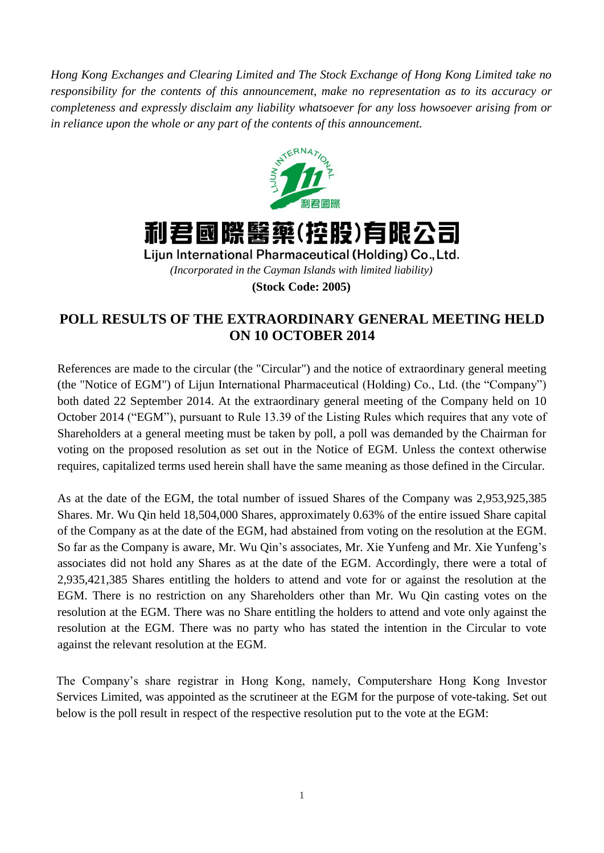*Hong Kong Exchanges and Clearing Limited and The Stock Exchange of Hong Kong Limited take no responsibility for the contents of this announcement, make no representation as to its accuracy or completeness and expressly disclaim any liability whatsoever for any loss howsoever arising from or in reliance upon the whole or any part of the contents of this announcement.*





Lijun International Pharmaceutical (Holding) Co., Ltd.

*(Incorporated in the Cayman Islands with limited liability)*

**(Stock Code: 2005)**

## **POLL RESULTS OF THE EXTRAORDINARY GENERAL MEETING HELD ON 10 OCTOBER 2014**

References are made to the circular (the "Circular") and the notice of extraordinary general meeting (the "Notice of EGM") of Lijun International Pharmaceutical (Holding) Co., Ltd. (the "Company") both dated 22 September 2014. At the extraordinary general meeting of the Company held on 10 October 2014 ("EGM"), pursuant to Rule 13.39 of the Listing Rules which requires that any vote of Shareholders at a general meeting must be taken by poll, a poll was demanded by the Chairman for voting on the proposed resolution as set out in the Notice of EGM. Unless the context otherwise requires, capitalized terms used herein shall have the same meaning as those defined in the Circular.

As at the date of the EGM, the total number of issued Shares of the Company was 2,953,925,385 Shares. Mr. Wu Qin held 18,504,000 Shares, approximately 0.63% of the entire issued Share capital of the Company as at the date of the EGM, had abstained from voting on the resolution at the EGM. So far as the Company is aware, Mr. Wu Qin's associates, Mr. Xie Yunfeng and Mr. Xie Yunfeng's associates did not hold any Shares as at the date of the EGM. Accordingly, there were a total of 2,935,421,385 Shares entitling the holders to attend and vote for or against the resolution at the EGM. There is no restriction on any Shareholders other than Mr. Wu Qin casting votes on the resolution at the EGM. There was no Share entitling the holders to attend and vote only against the resolution at the EGM. There was no party who has stated the intention in the Circular to vote against the relevant resolution at the EGM.

The Company's share registrar in Hong Kong, namely, Computershare Hong Kong Investor Services Limited, was appointed as the scrutineer at the EGM for the purpose of vote-taking. Set out below is the poll result in respect of the respective resolution put to the vote at the EGM: